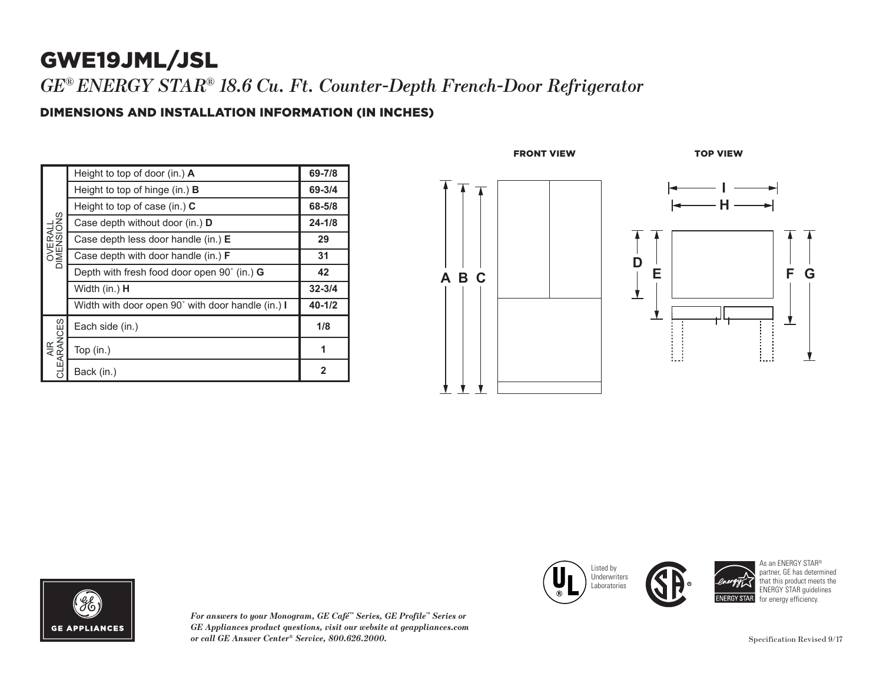# GWE19JML/JSL

*GE® ENERGY STAR ® 18.6 Cu. Ft. Counter-Depth French-Door Refrigerator*

#### DIMENSIONS AND INSTALLATION INFORMATION (IN INCHES)

| OVERALL<br>DIMENSIONS | Height to top of door (in.) $\mathbf{A}$          | 69-7/8       |
|-----------------------|---------------------------------------------------|--------------|
|                       | Height to top of hinge (in.) $\bf{B}$             | 69-3/4       |
|                       | Height to top of case (in.) $C$                   | 68-5/8       |
|                       | Case depth without door (in.) D                   | $24 - 1/8$   |
|                       | Case depth less door handle (in.) E               | 29           |
|                       | Case depth with door handle (in.) <b>F</b>        | 31           |
|                       | Depth with fresh food door open 90° (in.) G       | 42           |
|                       | Width (in.) <b>H</b>                              | $32 - 3/4$   |
|                       | Width with door open 90° with door handle (in.) I | $40 - 1/2$   |
| AIR<br>CLEARANCES     | Each side (in.)                                   | 1/8          |
|                       | Top (in.)                                         | 1            |
|                       | Back (in.)                                        | $\mathbf{2}$ |





*For answers to your Monogram, GE Café ™ Series, GE Profile ™ Series or GE Appliances product questions, visit our website at geappliances.com or call GE Answer Center*





As an ENERGY STAR ® partner, GE has determined that this product meets the ENERGY STAR guidelines for energy efficiency.